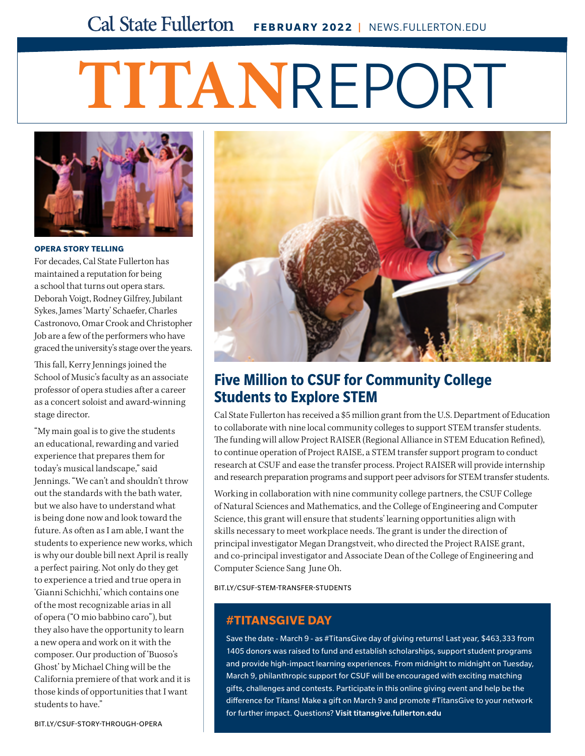# **FEBRUARY 2022 |** NEWS.FULLERTON.EDU

# **TITAN**REPORT



### **OPERA STORY TELLING**

For decades, Cal State Fullerton has maintained a reputation for being a school that turns out opera stars. Deborah Voigt, Rodney Gilfrey, Jubilant Sykes, James 'Marty' Schaefer, Charles Castronovo, Omar Crook and Christopher Job are a few of the performers who have graced the university's stage over the years.

This fall, Kerry Jennings joined the School of Music's faculty as an associate professor of opera studies after a career as a concert soloist and award-winning stage director.

"My main goal is to give the students an educational, rewarding and varied experience that prepares them for today's musical landscape," said Jennings. "We can't and shouldn't throw out the standards with the bath water, but we also have to understand what is being done now and look toward the future. As often as I am able, I want the students to experience new works, which is why our double bill next April is really a perfect pairing. Not only do they get to experience a tried and true opera in 'Gianni Schichhi,' which contains one of the most recognizable arias in all of opera ("O mio babbino caro"), but they also have the opportunity to learn a new opera and work on it with the composer. Our production of 'Buoso's Ghost' by Michael Ching will be the California premiere of that work and it is those kinds of opportunities that I want students to have."



# **Five Million to CSUF for Community College Students to Explore STEM**

Cal State Fullerton has received a \$5 million grant from the U.S. Department of Education to collaborate with nine local community colleges to support STEM transfer students. The funding will allow Project RAISER (Regional Alliance in STEM Education Refined), to continue operation of Project RAISE, a STEM transfer support program to conduct research at CSUF and ease the transfer process. Project RAISER will provide internship and research preparation programs and support peer advisors for STEM transfer students.

Working in collaboration with nine community college partners, the CSUF College of Natural Sciences and Mathematics, and the College of Engineering and Computer Science, this grant will ensure that students' learning opportunities align with skills necessary to meet workplace needs. The grant is under the direction of principal investigator Megan Drangstveit, who directed the Project RAISE grant, and co-principal investigator and Associate Dean of the College of Engineering and Computer Science Sang June Oh.

[BIT.LY/CSUF-STEM-TRANSFER-STUDENTS](http://bit.ly/csuf-stem-transfer-students)

# **#TITANSGIVE DAY**

Save the date - March 9 - as #TitansGive day of giving returns! Last year, \$463,333 from 1405 donors was raised to fund and establish scholarships, support student programs and provide high-impact learning experiences. From midnight to midnight on Tuesday, March 9, philanthropic support for CSUF will be encouraged with exciting matching gifts, challenges and contests. Participate in this online giving event and help be the difference for Titans! Make a gift on March 9 and promote #TitansGive to your network for further impact. Questions? Visit [titansgive.fullerton.edu](http://titansgive.fullerton.edu )